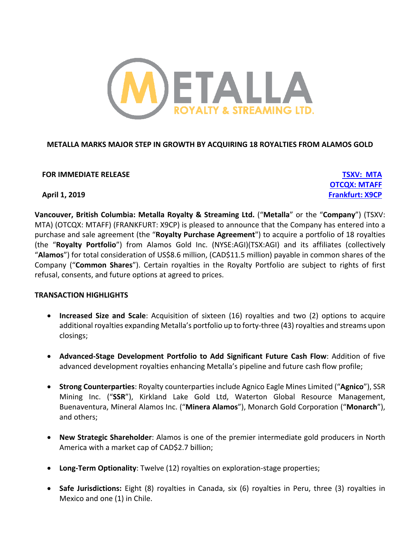

# **METALLA MARKS MAJOR STEP IN GROWTH BY ACQUIRING 18 ROYALTIES FROM ALAMOS GOLD**

**FOR IMMEDIATE RELEASE TSXV: MTA**

**OTCQX: MTAFF April 1, 2019 Frankfurt: X9CP**

**Vancouver, British Columbia: Metalla Royalty & Streaming Ltd.** ("**Metalla**" or the "**Company**") (TSXV: MTA) (OTCQX: MTAFF) (FRANKFURT: X9CP) is pleased to announce that the Company has entered into a purchase and sale agreement (the "**Royalty Purchase Agreement**") to acquire a portfolio of 18 royalties (the "**Royalty Portfolio**") from Alamos Gold Inc. (NYSE:AGI)(TSX:AGI) and its affiliates (collectively "**Alamos**") for total consideration of US\$8.6 million, (CAD\$11.5 million) payable in common shares of the Company ("**Common Shares**"). Certain royalties in the Royalty Portfolio are subject to rights of first refusal, consents, and future options at agreed to prices.

### **TRANSACTION HIGHLIGHTS**

- **Increased Size and Scale**: Acquisition of sixteen (16) royalties and two (2) options to acquire additional royalties expanding Metalla's portfolio up to forty-three (43) royalties and streams upon closings;
- **Advanced-Stage Development Portfolio to Add Significant Future Cash Flow**: Addition of five advanced development royalties enhancing Metalla's pipeline and future cash flow profile;
- **Strong Counterparties**: Royalty counterparties include Agnico Eagle Mines Limited ("**Agnico**"), SSR Mining Inc. ("**SSR**"), Kirkland Lake Gold Ltd, Waterton Global Resource Management, Buenaventura, Mineral Alamos Inc. ("**Minera Alamos**"), Monarch Gold Corporation ("**Monarch**"), and others;
- **New Strategic Shareholder**: Alamos is one of the premier intermediate gold producers in North America with a market cap of CAD\$2.7 billion;
- **Long-Term Optionality**: Twelve (12) royalties on exploration-stage properties;
- **Safe Jurisdictions:** Eight (8) royalties in Canada, six (6) royalties in Peru, three (3) royalties in Mexico and one (1) in Chile.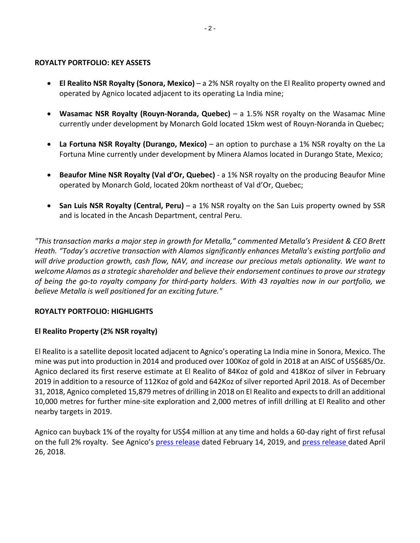#### **ROYALTY PORTFOLIO: KEY ASSETS**

- **El Realito NSR Royalty (Sonora, Mexico)**  a 2% NSR royalty on the El Realito property owned and operated by Agnico located adjacent to its operating La India mine;
- **Wasamac NSR Royalty (Rouyn-Noranda, Quebec)**  a 1.5% NSR royalty on the Wasamac Mine currently under development by Monarch Gold located 15km west of Rouyn-Noranda in Quebec;
- **La Fortuna NSR Royalty (Durango, Mexico)**  an option to purchase a 1% NSR royalty on the La Fortuna Mine currently under development by Minera Alamos located in Durango State, Mexico;
- **Beaufor Mine NSR Royalty (Val d'Or, Quebec)** a 1% NSR royalty on the producing Beaufor Mine operated by Monarch Gold, located 20km northeast of Val d'Or, Quebec;
- **San Luis NSR Royalty (Central, Peru)** a 1% NSR royalty on the San Luis property owned by SSR and is located in the Ancash Department, central Peru.

*"This transaction marks a major step in growth for Metalla," commented Metalla's President & CEO Brett Heath. "Today's accretive transaction with Alamos significantly enhances Metalla's existing portfolio and will drive production growth, cash flow, NAV, and increase our precious metals optionality. We want to welcome Alamos as a strategic shareholder and believe their endorsement continues to prove our strategy of being the go-to royalty company for third-party holders. With 43 royalties now in our portfolio, we believe Metalla is well positioned for an exciting future."*

# **ROYALTY PORTFOLIO: HIGHLIGHTS**

# **El Realito Property (2% NSR royalty)**

El Realito is a satellite deposit located adjacent to Agnico's operating La India mine in Sonora, Mexico. The mine was put into production in 2014 and produced over 100Koz of gold in 2018 at an AISC of US\$685/Oz. Agnico declared its first reserve estimate at El Realito of 84Koz of gold and 418Koz of silver in February 2019 in addition to a resource of 112Koz of gold and 642Koz of silver reported April 2018. As of December 31, 2018, Agnico completed 15,879 metres of drilling in 2018 on El Realito and expects to drill an additional 10,000 metres for further mine-site exploration and 2,000 metres of infill drilling at El Realito and other nearby targets in 2019.

Agnico can buyback 1% of the royalty for US\$4 million at any time and holds a 60-day right of first refusal on the full 2% royalty. See Agnico's press release dated February 14, 2019, and press release dated April 26, 2018.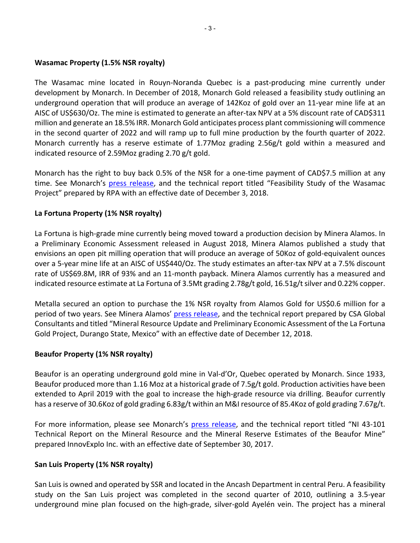## **Wasamac Property (1.5% NSR royalty)**

The Wasamac mine located in Rouyn-Noranda Quebec is a past-producing mine currently under development by Monarch. In December of 2018, Monarch Gold released a feasibility study outlining an underground operation that will produce an average of 142Koz of gold over an 11-year mine life at an AISC of US\$630/Oz. The mine is estimated to generate an after-tax NPV at a 5% discount rate of CAD\$311 million and generate an 18.5% IRR. Monarch Gold anticipates process plant commissioning will commence in the second quarter of 2022 and will ramp up to full mine production by the fourth quarter of 2022. Monarch currently has a reserve estimate of 1.77Moz grading 2.56g/t gold within a measured and indicated resource of 2.59Moz grading 2.70 g/t gold.

Monarch has the right to buy back 0.5% of the NSR for a one-time payment of CAD\$7.5 million at any time. See Monarch's press release, and the technical report titled "Feasibility Study of the Wasamac Project" prepared by RPA with an effective date of December 3, 2018.

# **La Fortuna Property (1% NSR royalty)**

La Fortuna is high-grade mine currently being moved toward a production decision by Minera Alamos. In a Preliminary Economic Assessment released in August 2018, Minera Alamos published a study that envisions an open pit milling operation that will produce an average of 50Koz of gold-equivalent ounces over a 5-year mine life at an AISC of US\$440/Oz. The study estimates an after-tax NPV at a 7.5% discount rate of US\$69.8M, IRR of 93% and an 11-month payback. Minera Alamos currently has a measured and indicated resource estimate at La Fortuna of 3.5Mt grading 2.78g/t gold, 16.51g/t silver and 0.22% copper.

Metalla secured an option to purchase the 1% NSR royalty from Alamos Gold for US\$0.6 million for a period of two years. See Minera Alamos' press release, and the technical report prepared by CSA Global Consultants and titled "Mineral Resource Update and Preliminary Economic Assessment of the La Fortuna Gold Project, Durango State, Mexico" with an effective date of December 12, 2018.

# **Beaufor Property (1% NSR royalty)**

Beaufor is an operating underground gold mine in Val-d'Or, Quebec operated by Monarch. Since 1933, Beaufor produced more than 1.16 Moz at a historical grade of 7.5g/t gold. Production activities have been extended to April 2019 with the goal to increase the high-grade resource via drilling. Beaufor currently has a reserve of 30.6Koz of gold grading 6.83g/t within an M&I resource of 85.4Koz of gold grading 7.67g/t.

For more information, please see Monarch's press release, and the technical report titled "NI 43-101 Technical Report on the Mineral Resource and the Mineral Reserve Estimates of the Beaufor Mine" prepared InnovExplo Inc. with an effective date of September 30, 2017.

# **San Luis Property (1% NSR royalty)**

San Luis is owned and operated by SSR and located in the Ancash Department in central Peru. A feasibility study on the San Luis project was completed in the second quarter of 2010, outlining a 3.5-year underground mine plan focused on the high-grade, silver-gold Ayelén vein. The project has a mineral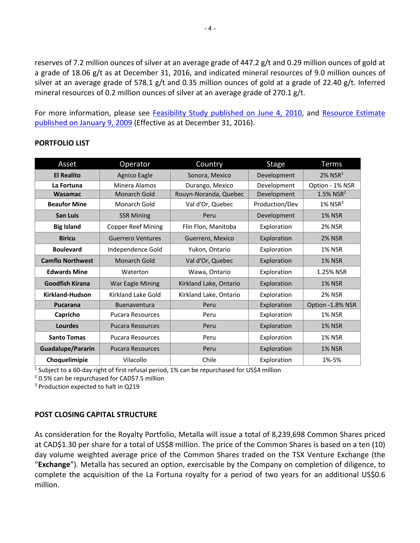reserves of 7.2 million ounces of silver at an average grade of 447.2 g/t and 0.29 million ounces of gold at a grade of 18.06 g/t as at December 31, 2016, and indicated mineral resources of 9.0 million ounces of silver at an average grade of 578.1 g/t and 0.35 million ounces of gold at a grade of 22.40 g/t. Inferred mineral resources of 0.2 million ounces of silver at an average grade of 270.1 g/t.

For more information, please see Feasibility Study published on June 4, 2010, and Resource Estimate published on January 9, 2009 (Effective as at December 31, 2016).

| Asset                   | Operator                  | Country                | <b>Stage</b>   | <b>Terms</b>             |
|-------------------------|---------------------------|------------------------|----------------|--------------------------|
| <b>El Realito</b>       | Agnico Eagle              | Sonora, Mexico         | Development    | $2\%$ NSR <sup>1</sup>   |
| La Fortuna              | Minera Alamos             | Durango, Mexico        | Development    | Option - 1% NSR          |
| Wasamac                 | <b>Monarch Gold</b>       | Rouyn-Noranda, Quebec  | Development    | $1.5\%$ NSR <sup>2</sup> |
| <b>Beaufor Mine</b>     | Monarch Gold              | Val d'Or, Quebec       | Production/Dev | $1\%$ NSR <sup>3</sup>   |
| <b>San Luis</b>         | <b>SSR Mining</b>         | Peru                   | Development    | <b>1% NSR</b>            |
| <b>Big Island</b>       | <b>Copper Reef Mining</b> | Flin Flon, Manitoba    | Exploration    | <b>2% NSR</b>            |
| <b>Biricu</b>           | <b>Guerrero Ventures</b>  | Guerrero, Mexico       | Exploration    | <b>2% NSR</b>            |
| <b>Boulevard</b>        | Independence Gold         | Yukon, Ontario         | Exploration    | <b>1% NSR</b>            |
| <b>Camflo Northwest</b> | Monarch Gold              | Val d'Or, Quebec       | Exploration    | <b>1% NSR</b>            |
| <b>Edwards Mine</b>     | Waterton                  | Wawa, Ontario          | Exploration    | 1.25% NSR                |
| <b>Goodfish Kirana</b>  | War Eagle Mining          | Kirkland Lake, Ontario | Exploration    | <b>1% NSR</b>            |
| <b>Kirkland-Hudson</b>  | Kirkland Lake Gold        | Kirkland Lake, Ontario | Exploration    | <b>2% NSR</b>            |
| <b>Pucarana</b>         | <b>Buenaventura</b>       | Peru                   | Exploration    | Option -1.8% NSR         |
| Capricho                | <b>Pucara Resources</b>   | Peru                   | Exploration    | <b>1% NSR</b>            |
| Lourdes                 | <b>Pucara Resources</b>   | Peru                   | Exploration    | <b>1% NSR</b>            |
| <b>Santo Tomas</b>      | <b>Pucara Resources</b>   | Peru                   | Exploration    | <b>1% NSR</b>            |
| Guadalupe/Pararin       | <b>Pucara Resources</b>   | Peru                   | Exploration    | <b>1% NSR</b>            |
| Choquelimipie           | Vilacollo                 | Chile                  | Exploration    | 1%-5%                    |

### **PORTFOLIO LIST**

<sup>1</sup> Subject to a 60-day right of first refusal period, 1% can be repurchased for US\$4 million

<sup>2</sup> 0.5% can be repurchased for CAD\$7.5 million

<sup>3</sup> Production expected to halt in Q219

### **POST CLOSING CAPITAL STRUCTURE**

As consideration for the Royalty Portfolio, Metalla will issue a total of 8,239,698 Common Shares priced at CAD\$1.30 per share for a total of US\$8 million. The price of the Common Shares is based on a ten (10) day volume weighted average price of the Common Shares traded on the TSX Venture Exchange (the "**Exchange**"). Metalla has secured an option, exercisable by the Company on completion of diligence, to complete the acquisition of the La Fortuna royalty for a period of two years for an additional US\$0.6 million.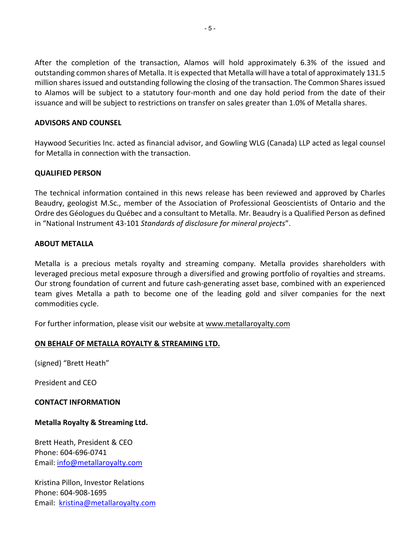After the completion of the transaction, Alamos will hold approximately 6.3% of the issued and outstanding common shares of Metalla. It is expected that Metalla will have a total of approximately 131.5 million shares issued and outstanding following the closing of the transaction. The Common Shares issued to Alamos will be subject to a statutory four-month and one day hold period from the date of their issuance and will be subject to restrictions on transfer on sales greater than 1.0% of Metalla shares.

### **ADVISORS AND COUNSEL**

Haywood Securities Inc. acted as financial advisor, and Gowling WLG (Canada) LLP acted as legal counsel for Metalla in connection with the transaction.

### **QUALIFIED PERSON**

The technical information contained in this news release has been reviewed and approved by Charles Beaudry, geologist M.Sc., member of the Association of Professional Geoscientists of Ontario and the Ordre des Géologues du Québec and a consultant to Metalla. Mr. Beaudry is a Qualified Person as defined in "National Instrument 43-101 *Standards of disclosure for mineral projects*".

### **ABOUT METALLA**

Metalla is a precious metals royalty and streaming company. Metalla provides shareholders with leveraged precious metal exposure through a diversified and growing portfolio of royalties and streams. Our strong foundation of current and future cash-generating asset base, combined with an experienced team gives Metalla a path to become one of the leading gold and silver companies for the next commodities cycle.

For further information, please visit our website at www.metallaroyalty.com

### **ON BEHALF OF METALLA ROYALTY & STREAMING LTD.**

(signed) "Brett Heath"

President and CEO

#### **CONTACT INFORMATION**

### **Metalla Royalty & Streaming Ltd.**

Brett Heath, President & CEO Phone: 604-696-0741 Email: info@metallaroyalty.com

Kristina Pillon, Investor Relations Phone: 604-908-1695 Email: kristina@metallaroyalty.com